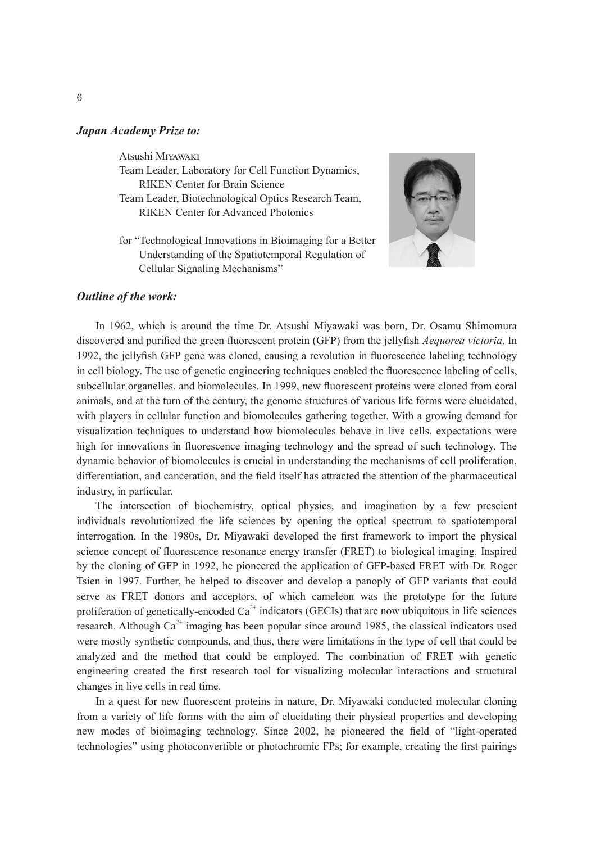## *Japan Academy Prize to:*

Atsushi Miyawaki

Team Leader, Laboratory for Cell Function Dynamics, RIKEN Center for Brain Science

- Team Leader, Biotechnological Optics Research Team, RIKEN Center for Advanced Photonics
- for "Technological Innovations in Bioimaging for a Better Understanding of the Spatiotemporal Regulation of Cellular Signaling Mechanisms"



## *Outline of the work:*

In 1962, which is around the time Dr. Atsushi Miyawaki was born, Dr. Osamu Shimomura discovered and purified the green fluorescent protein (GFP) from the jellyfish *Aequorea victoria*. In 1992, the jellyfish GFP gene was cloned, causing a revolution in fluorescence labeling technology in cell biology. The use of genetic engineering techniques enabled the fluorescence labeling of cells, subcellular organelles, and biomolecules. In 1999, new fluorescent proteins were cloned from coral animals, and at the turn of the century, the genome structures of various life forms were elucidated, with players in cellular function and biomolecules gathering together. With a growing demand for visualization techniques to understand how biomolecules behave in live cells, expectations were high for innovations in fluorescence imaging technology and the spread of such technology. The dynamic behavior of biomolecules is crucial in understanding the mechanisms of cell proliferation, differentiation, and canceration, and the field itself has attracted the attention of the pharmaceutical industry, in particular.

The intersection of biochemistry, optical physics, and imagination by a few prescient individuals revolutionized the life sciences by opening the optical spectrum to spatiotemporal interrogation. In the 1980s, Dr. Miyawaki developed the first framework to import the physical science concept of fluorescence resonance energy transfer (FRET) to biological imaging. Inspired by the cloning of GFP in 1992, he pioneered the application of GFP-based FRET with Dr. Roger Tsien in 1997. Further, he helped to discover and develop a panoply of GFP variants that could serve as FRET donors and acceptors, of which cameleon was the prototype for the future proliferation of genetically-encoded  $Ca^{2+}$  indicators (GECIs) that are now ubiquitous in life sciences research. Although  $Ca^{2+}$  imaging has been popular since around 1985, the classical indicators used were mostly synthetic compounds, and thus, there were limitations in the type of cell that could be analyzed and the method that could be employed. The combination of FRET with genetic engineering created the first research tool for visualizing molecular interactions and structural changes in live cells in real time.

In a quest for new fluorescent proteins in nature, Dr. Miyawaki conducted molecular cloning from a variety of life forms with the aim of elucidating their physical properties and developing new modes of bioimaging technology. Since 2002, he pioneered the field of "light-operated technologies" using photoconvertible or photochromic FPs; for example, creating the first pairings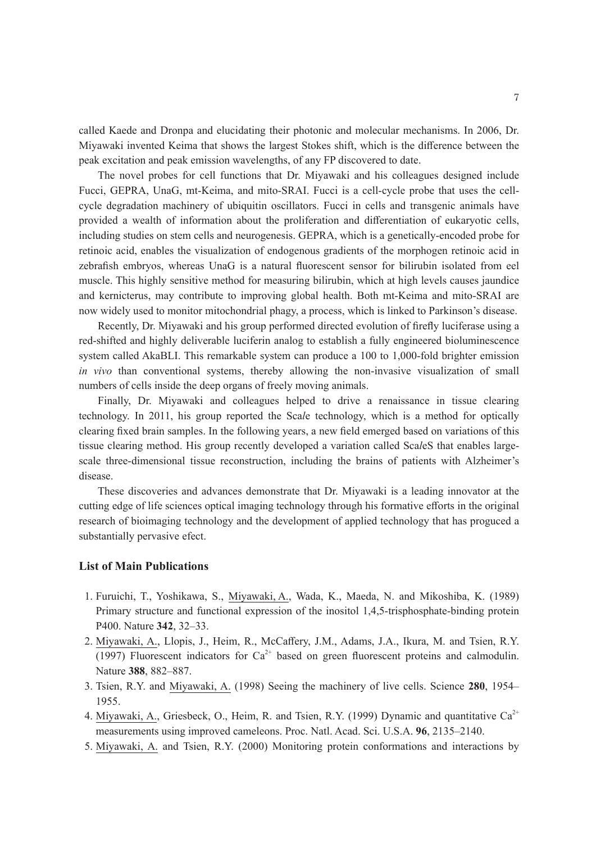called Kaede and Dronpa and elucidating their photonic and molecular mechanisms. In 2006, Dr. Miyawaki invented Keima that shows the largest Stokes shift, which is the difference between the peak excitation and peak emission wavelengths, of any FP discovered to date.

The novel probes for cell functions that Dr. Miyawaki and his colleagues designed include Fucci, GEPRA, UnaG, mt-Keima, and mito-SRAI. Fucci is a cell-cycle probe that uses the cellcycle degradation machinery of ubiquitin oscillators. Fucci in cells and transgenic animals have provided a wealth of information about the proliferation and differentiation of eukaryotic cells, including studies on stem cells and neurogenesis. GEPRA, which is a genetically-encoded probe for retinoic acid, enables the visualization of endogenous gradients of the morphogen retinoic acid in zebrafish embryos, whereas UnaG is a natural fluorescent sensor for bilirubin isolated from eel muscle. This highly sensitive method for measuring bilirubin, which at high levels causes jaundice and kernicterus, may contribute to improving global health. Both mt-Keima and mito-SRAI are now widely used to monitor mitochondrial phagy, a process, which is linked to Parkinson's disease.

Recently, Dr. Miyawaki and his group performed directed evolution of firefly luciferase using a red-shifted and highly deliverable luciferin analog to establish a fully engineered bioluminescence system called AkaBLI. This remarkable system can produce a 100 to 1,000-fold brighter emission *in vivo* than conventional systems, thereby allowing the non-invasive visualization of small numbers of cells inside the deep organs of freely moving animals.

Finally, Dr. Miyawaki and colleagues helped to drive a renaissance in tissue clearing technology. In 2011, his group reported the Sca*l*e technology, which is a method for optically clearing fixed brain samples. In the following years, a new field emerged based on variations of this tissue clearing method. His group recently developed a variation called Sca*l*eS that enables largescale three-dimensional tissue reconstruction, including the brains of patients with Alzheimer's disease.

These discoveries and advances demonstrate that Dr. Miyawaki is a leading innovator at the cutting edge of life sciences optical imaging technology through his formative efforts in the original research of bioimaging technology and the development of applied technology that has proguced a substantially pervasive efect.

## **List of Main Publications**

- 1. Furuichi, T., Yoshikawa, S., Miyawaki, A., Wada, K., Maeda, N. and Mikoshiba, K. (1989) Primary structure and functional expression of the inositol 1,4,5-trisphosphate-binding protein P400. Nature **342**, 32–33.
- 2.Miyawaki, A., Llopis, J., Heim, R., McCaffery, J.M., Adams, J.A., Ikura, M. and Tsien, R.Y. (1997) Fluorescent indicators for  $Ca^{2+}$  based on green fluorescent proteins and calmodulin. Nature **388**, 882–887.
- 3. Tsien, R.Y. and Miyawaki, A. (1998) Seeing the machinery of live cells. Science **280**, 1954– 1955.
- 4. Miyawaki, A., Griesbeck, O., Heim, R. and Tsien, R.Y. (1999) Dynamic and quantitative  $Ca^{2+}$ measurements using improved cameleons. Proc. Natl. Acad. Sci. U.S.A. **96**, 2135–2140.
- 5.Miyawaki, A. and Tsien, R.Y. (2000) Monitoring protein conformations and interactions by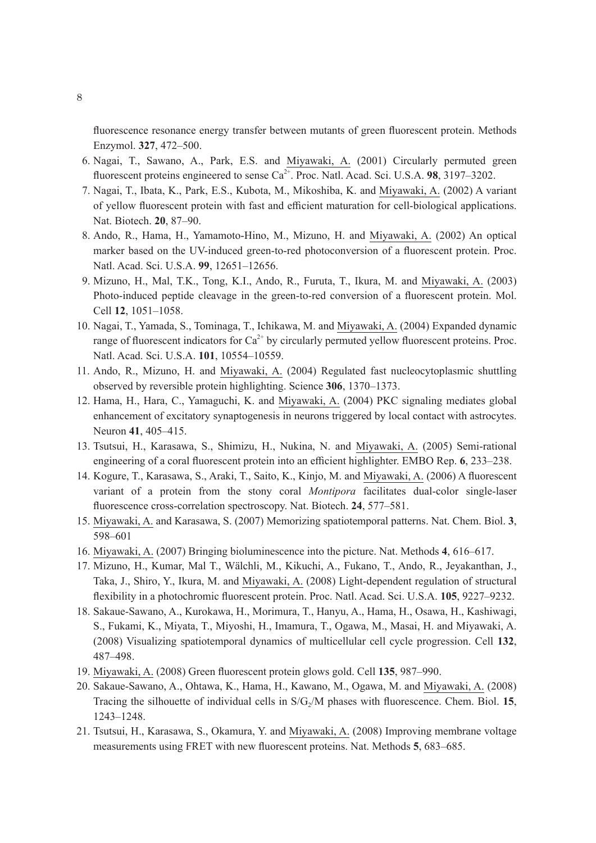fluorescence resonance energy transfer between mutants of green fluorescent protein. Methods Enzymol. **327**, 472–500.

- 6. Nagai, T., Sawano, A., Park, E.S. and Miyawaki, A. (2001) Circularly permuted green fluorescent proteins engineered to sense  $Ca^{2+}$ . Proc. Natl. Acad. Sci. U.S.A. **98**, 3197–3202.
- 7. Nagai, T., Ibata, K., Park, E.S., Kubota, M., Mikoshiba, K. and Miyawaki, A. (2002) A variant of yellow fluorescent protein with fast and efficient maturation for cell-biological applications. Nat. Biotech. **20**, 87–90.
- 8. Ando, R., Hama, H., Yamamoto-Hino, M., Mizuno, H. and Miyawaki, A. (2002) An optical marker based on the UV-induced green-to-red photoconversion of a fluorescent protein. Proc. Natl. Acad. Sci. U.S.A. **99**, 12651–12656.
- 9. Mizuno, H., Mal, T.K., Tong, K.I., Ando, R., Furuta, T., Ikura, M. and Miyawaki, A. (2003) Photo-induced peptide cleavage in the green-to-red conversion of a fluorescent protein. Mol. Cell **12**, 1051–1058.
- 10. Nagai, T., Yamada, S., Tominaga, T., Ichikawa, M. and Miyawaki, A. (2004) Expanded dynamic range of fluorescent indicators for  $Ca^{2+}$  by circularly permuted yellow fluorescent proteins. Proc. Natl. Acad. Sci. U.S.A. **101**, 10554–10559.
- 11. Ando, R., Mizuno, H. and Miyawaki, A. (2004) Regulated fast nucleocytoplasmic shuttling observed by reversible protein highlighting. Science **306**, 1370–1373.
- 12. Hama, H., Hara, C., Yamaguchi, K. and Miyawaki, A. (2004) PKC signaling mediates global enhancement of excitatory synaptogenesis in neurons triggered by local contact with astrocytes. Neuron **41**, 405–415.
- 13. Tsutsui, H., Karasawa, S., Shimizu, H., Nukina, N. and Miyawaki, A. (2005) Semi-rational engineering of a coral fluorescent protein into an efficient highlighter. EMBO Rep. **6**, 233–238.
- 14. Kogure, T., Karasawa, S., Araki, T., Saito, K., Kinjo, M. and Miyawaki, A. (2006) A fluorescent variant of a protein from the stony coral *Montipora* facilitates dual-color single-laser fluorescence cross-correlation spectroscopy. Nat. Biotech. **24**, 577–581.
- 15. Miyawaki, A. and Karasawa, S. (2007) Memorizing spatiotemporal patterns. Nat. Chem. Biol. **3**, 598–601
- 16. Miyawaki, A. (2007) Bringing bioluminescence into the picture. Nat. Methods **4**, 616–617.
- 17. Mizuno, H., Kumar, Mal T., Wälchli, M., Kikuchi, A., Fukano, T., Ando, R., Jeyakanthan, J., Taka, J., Shiro, Y., Ikura, M. and Miyawaki, A. (2008) Light-dependent regulation of structural flexibility in a photochromic fluorescent protein. Proc. Natl. Acad. Sci. U.S.A. **105**, 9227–9232.
- 18. Sakaue-Sawano, A., Kurokawa, H., Morimura, T., Hanyu, A., Hama, H., Osawa, H., Kashiwagi, S., Fukami, K., Miyata, T., Miyoshi, H., Imamura, T., Ogawa, M., Masai, H. and Miyawaki, A. (2008) Visualizing spatiotemporal dynamics of multicellular cell cycle progression. Cell **132**, 487–498.
- 19. Miyawaki, A. (2008) Green fluorescent protein glows gold. Cell **135**, 987–990.
- 20. Sakaue-Sawano, A., Ohtawa, K., Hama, H., Kawano, M., Ogawa, M. and Miyawaki, A. (2008) Tracing the silhouette of individual cells in S/G<sub>2</sub>/M phases with fluorescence. Chem. Biol. 15, 1243–1248.
- 21. Tsutsui, H., Karasawa, S., Okamura, Y. and Miyawaki, A. (2008) Improving membrane voltage measurements using FRET with new fluorescent proteins. Nat. Methods **5**, 683–685.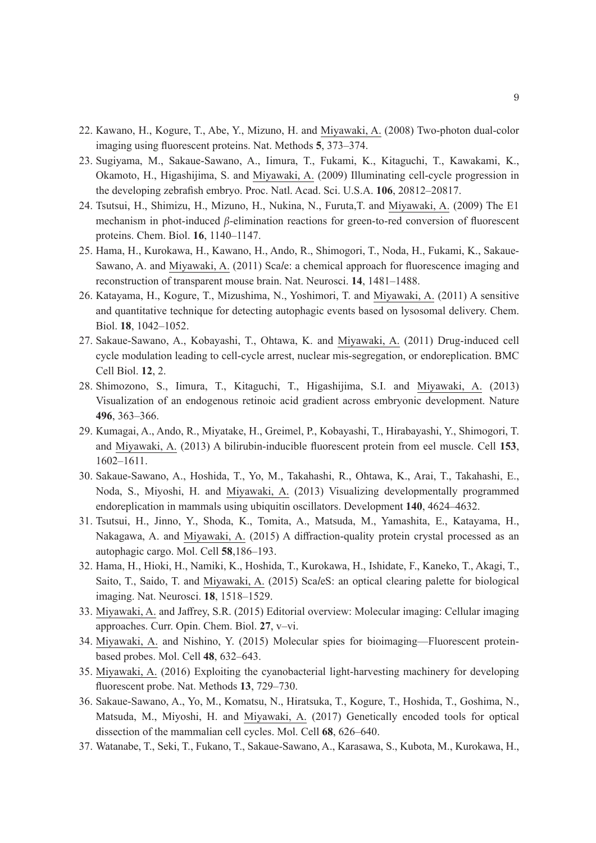- 22. Kawano, H., Kogure, T., Abe, Y., Mizuno, H. and Miyawaki, A. (2008) Two-photon dual-color imaging using fluorescent proteins. Nat. Methods **5**, 373–374.
- 23. Sugiyama, M., Sakaue-Sawano, A., Iimura, T., Fukami, K., Kitaguchi, T., Kawakami, K., Okamoto, H., Higashijima, S. and Miyawaki, A. (2009) Illuminating cell-cycle progression in the developing zebrafish embryo. Proc. Natl. Acad. Sci. U.S.A. **106**, 20812–20817.
- 24. Tsutsui, H., Shimizu, H., Mizuno, H., Nukina, N., Furuta,T. and Miyawaki, A. (2009) The E1 mechanism in phot-induced *β*-elimination reactions for green-to-red conversion of fluorescent proteins. Chem. Biol. **16**, 1140–1147.
- 25. Hama, H., Kurokawa, H., Kawano, H., Ando, R., Shimogori, T., Noda, H., Fukami, K., Sakaue-Sawano, A. and Miyawaki, A. (2011) Sca*l*e: a chemical approach for fluorescence imaging and reconstruction of transparent mouse brain. Nat. Neurosci. **14**, 1481–1488.
- 26. Katayama, H., Kogure, T., Mizushima, N., Yoshimori, T. and Miyawaki, A. (2011) A sensitive and quantitative technique for detecting autophagic events based on lysosomal delivery. Chem. Biol. **18**, 1042–1052.
- 27. Sakaue-Sawano, A., Kobayashi, T., Ohtawa, K. and Miyawaki, A. (2011) Drug-induced cell cycle modulation leading to cell-cycle arrest, nuclear mis-segregation, or endoreplication. BMC Cell Biol. **12**, 2.
- 28. Shimozono, S., Iimura, T., Kitaguchi, T., Higashijima, S.I. and Miyawaki, A. (2013) Visualization of an endogenous retinoic acid gradient across embryonic development. Nature **496**, 363–366.
- 29. Kumagai, A., Ando, R., Miyatake, H., Greimel, P., Kobayashi, T., Hirabayashi, Y., Shimogori, T. and Miyawaki, A. (2013) A bilirubin-inducible fluorescent protein from eel muscle. Cell **153**, 1602–1611.
- 30. Sakaue-Sawano, A., Hoshida, T., Yo, M., Takahashi, R., Ohtawa, K., Arai, T., Takahashi, E., Noda, S., Miyoshi, H. and Miyawaki, A. (2013) Visualizing developmentally programmed endoreplication in mammals using ubiquitin oscillators. Development **140**, 4624–4632.
- 31. Tsutsui, H., Jinno, Y., Shoda, K., Tomita, A., Matsuda, M., Yamashita, E., Katayama, H., Nakagawa, A. and Miyawaki, A. (2015) A diffraction-quality protein crystal processed as an autophagic cargo. Mol. Cell **58**,186–193.
- 32. Hama, H., Hioki, H., Namiki, K., Hoshida, T., Kurokawa, H., Ishidate, F., Kaneko, T., Akagi, T., Saito, T., Saido, T. and Miyawaki, A. (2015) Sca*l*eS: an optical clearing palette for biological imaging. Nat. Neurosci. **18**, 1518–1529.
- 33. Miyawaki, A. and Jaffrey, S.R. (2015) Editorial overview: Molecular imaging: Cellular imaging approaches. Curr. Opin. Chem. Biol. **27**, v–vi.
- 34. Miyawaki, A. and Nishino, Y. (2015) Molecular spies for bioimaging—Fluorescent proteinbased probes. Mol. Cell **48**, 632–643.
- 35. Miyawaki, A. (2016) Exploiting the cyanobacterial light-harvesting machinery for developing fluorescent probe. Nat. Methods **13**, 729–730.
- 36. Sakaue-Sawano, A., Yo, M., Komatsu, N., Hiratsuka, T., Kogure, T., Hoshida, T., Goshima, N., Matsuda, M., Miyoshi, H. and Miyawaki, A. (2017) Genetically encoded tools for optical dissection of the mammalian cell cycles. Mol. Cell **68**, 626–640.
- 37. Watanabe, T., Seki, T., Fukano, T., Sakaue-Sawano, A., Karasawa, S., Kubota, M., Kurokawa, H.,